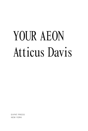# YOUR AEON Atticus Davis

**EXPAT PRESS** NEW YORK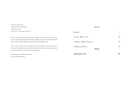| This edition $\odot$ 2015 Expat Press                                                                                                                                                                                                                          | <b>POETRY</b>                   |    |
|----------------------------------------------------------------------------------------------------------------------------------------------------------------------------------------------------------------------------------------------------------------|---------------------------------|----|
| All rights reserved.                                                                                                                                                                                                                                           |                                 |    |
| Printed in the United States of America                                                                                                                                                                                                                        | Haunter                         |    |
| No part of this book may be reproduced or transmitted in any form or by any means, elec-                                                                                                                                                                       | Tailor Made Pain                | 49 |
| tronic or mechanical, including photocopying, recording, or by any information storage and<br>retrieval system, without permission in writing from the copyright owner.                                                                                        | A Whore Named Chastity          | 65 |
| This is a work of fiction. Names, characters, places, and incidents either are the product of<br>the author's imagination or are used fictitiously, and any resemblance to any actual persons,<br>living or dead, events, or locales is entirely coincidental. | Crooning Neuter<br><b>PROSE</b> | 79 |
| Book Design by Arturo Herman Medrano<br>Cover Art by Courtney Min                                                                                                                                                                                              | Nothing But God                 | 99 |

© 2015 by Atticus Davis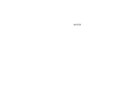HAUNTER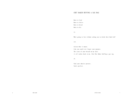# CHET BAKER HUFFING A GAS RAG

Born to feed Born to thrive Born to breed Born to die

II.

Who's going to love without asking you to drink their Kool-Aid?

III.

Ask me what it means. Like you could ever forget your purpose. The scent of your breath on my skin: it all rushes back to me, like Chet Baker huffing a gas rag.

IV.

Fuck your abusive parents. You're perfect.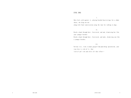# EVOL DOG

I.

Skin feels cold against it, playing braided heartstrings for a choke chain, she drags me out along with final conversation using the tone for talking to dogs.

II.

Brush a hand through hair, frustrated, and nod, dismissing her like your younger brother.

Brush a hand through hair, frustrated, and nods, dismissing you like a younger brother.

III.

Nervous tics, ticks in mane gorged from punishing speculation, your true-love is sick of it, that 'sick of you' sick and after all that effort—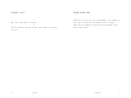## SILENCED, AGAIN

# RATHER STARVE FREE

I.

Okay. You're right. There is no answer.

II.

 "All my feelings are like your feelings—just a bother if they worry me at all."

Rather be starved for love, or just plain hungry, if my thoughts are clear than to be bloated by the warmth of careless strangers. Bodies that call themselves friends but know the meaning is 'only what you take from it.'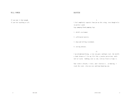## WILL POWER

If you want it bad enough.

If you feel anything at all.

# HAUNTER

I.

I feel completely separate from you on this swing, even though we're in perfect synch. Legs pumping blood pumping legs.

1. child's excitement.

2. caffeinated anxiety.

3. deep and welling resentment.

4. cutting absence.

II.

I am enlightened being, a true zen guru: nothing's real, the world's a (bad) dream so I live my life like a jocular perversion, smile full of teeth, bobbing side to side, with no flesh to frame it.

Your truth is breath, I trust, and I feed on it...so hunting, I track the scent, close my eyes and keep haunting you.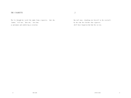# THE CIGARETTE

The lie through her teeth like smoke from a cigarette,

that she, 'cannot,' 'will not,' 'does not,' love him; as poisonous and comforting as nicotine.

.2

One wall away, slouching over herself in the stairwell, by the time she finishes that cigarette she'll have forgotten how bad the sex was.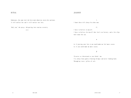## RITUAL

Endurance, the same trait she loves most about me, wastes her patience. It will outlast her and it will outlast our love.

'Only you,' she prays; whispering into routine eternity.

preys

# **JEALOUSY**

#### I.

I know there will always be other men.

#### II.

I have to believe in myself.

I have to believe for myself that love's no factory, and a few slips won't mean the can.

#### α

As if proving your love to me would make me feel more secure. As if you could make me more secure.

## β

I'm never as threatened as you think I am. I've always been good at burning bridges and never looking back. Through my tears: pillar of salt.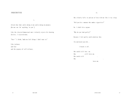# INSECURITIES

I.

Afraid that what you're doing to me you're doing on purpose. [No one can 'do' anything 'to you.']

Like the closeted homosexual most violently rejects his burning desires, I rejected mine.

"You…" I think, "make me feel things I don't want to."

Like jealousy and fear and the urgency of self-reliance. She silently falls in and out of love with me like it was sleep.

II.

"Did you kiss someone who smokes cigarettes?"

No. I didn't kiss anyone.

"Why do you look guilty?"

Because I feel guilty you'd asked me that.

I'm convinced you did...

I brush it off.

She could still love me. She still loves me. She could still . She . loves me.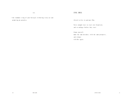III.

—the venomous sting of your betrayal slithering in my ear and promising me paradise.

# EVOL DRUG

Afraid to dive in and meet Him.

Never enough trust to start over brand new, and so endings—before they start

blame yourself, make the same mistakes, with the same prospects, and relapse with Her again.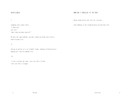# RICH GIRLS

I.

Laughing your jackal smile, "I know you," you said "more than you know yourself."

We have the same problem: you don't think you think you're better than everyone else.

II.

Pacing in and out of a car window's frame, looking in black mirrors, hoping next time I'm someone else.

III.

I treat everyone the same: treat you like a friend trust you like a stranger.

# HOW DO I EXPLAIN IT TO YOU?

Being surpassed by your love for a person,

then choking in the vacuum between you and that love.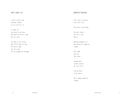# THAT DAMN CAT

A draft in her room from bay windows to let fresh air in.

It comes in, attracted to our heat and takes her pretty song out on a wave.

I'm lucky to be in here and I'll be glad to take her pretty song out the crack the cat dragged me through.

# MORNING PRAYERS

Two sticks of incense since she's left,

they burn in her honor.

The only light I left on is the cherry.

Burning midnight oil, obsessing over tomorrow  $(today)$ .

She's home and tan, she's mine.

Seconds pass cinders splash the tray fills,

like my heart in my throat.

She's coming tomorrow  $(t\text{oday})$ .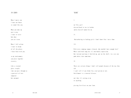## IN EDEN

When I marry you

I want our house

to sound like you.

When you wake up

next to me,

I want to taste

how close

you are in me.

When I fall asleep I want to dream of all the places I have been with you,

so my weak memory can piece together eternity.

Like a stained glass steeple time can pass through us a portrait of love tempered but untamed.

## 'SUBS'

I.

on 7th a girl dressed head to toe in leather smiles herself naked for me.

II.

:Masturbating to fucking girls I don't know like I miss them

III.

With every judging tongue silenced, who wouldn't have enough love? Where each word sung was it's own bodily expression. But instead you keep it bottled up, put on the shelf, in a jar you poke holes into sometimes.

## IV.

There are certain things I don't tell people because of the way they ask. I can't tell if you think I'm a real person or not. Entitlement is a venereal disease.

not that it's eating at me or anything

pissing fertilizer on your lawn.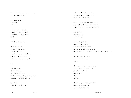Your smile like your social circle, it's unclean sterility

It's hands-free voice commanded totem

carved from the throats thrusting knife to sculpt sometimes with your smokey hands

a light like a siren.

My Valkyried face in awe of the weapon, and on the other end stoicism to be pit into bronze for it's callousness. It's untouched, virgin, sociopath y.

## V.

the unenlisted drop outs in drag half-faggot deserters need a place to put my conquest urge apparently it is not gay sex.

here I am after his cunt is gone

and you could bottom out here all sanity like a shanty child in some back alley miracle

my life has brought me to my cradle to be lulled, finally, into the warm blanketing hands of flawed self-love

eyes wide open screaming to see blind as a bat

a vampiric youth in your old friends glow a makeup fuck w no makeup an apology to the ones you buried in justifications. Mirrored in intellectualized drug use.

Because, yeah, of course you fucking miss me and I did too.

I'm holding my hand now, wailing, like that wounded animal I was but bleeding bleats and untamed whild savaghe

the animal you want to poach but whose beauty haunts you like some ragged angel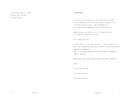bite my heels and try to drag me down. We'll talk but, you can't keep me.

## /UNTITLED/

A kiss on the first date may as well be having fucked them, is like plucking me, the flower I am, before I had half a life to blossom and then trying to tape my head back on like a kid-squeezed dandelion, except I'm the one I'm for.

Rubbed me under your chin to see if it'd show up yellow, if it shows up yellow you're in love.

Never showed up yellow.

But then cancer is a kiss you never gave. I end up eating my love. Burnt toast and high fructose 'spread.'There's no difference between dominance and submission.

Power is just going through the motions and there's nothing more pathetic than that.

Making myself more conversational. Making myself more commercial.

Gag me.

I want to be your dog.

I will be your muscle.

You can be my muzzle.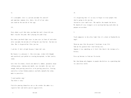II.

It's a metaphor: Love is a prison you make for yourself and sometimes someone else, where, for all of our sakes you stand on the outside of the cage.

#### III.

Story about a girl who takes you home but won't sleep with you. Don't slip her the pink. She's playing for pink slips.

Part where you both fight tears in your eyes in front of each other after you make the mistake of telling her you like her. You have no idea. She is disgusted but likes you too.

I ask her if she's alright because I know she's not.

Her beauty is a pleasure I, like every man, stroke with thought and ceaselessly spit polish to a rusting decrepitude, to fake jewelry stains.

Love like I'm stoned, clearly not much of a smoker, paranoid, keeps talking anyway, running your mouth, says too much, she says just enough, both proving yourselves to be proving yourselves. Proving yourselves to have broken promises you both, mutually but alone, made to yourselves.

 'I need another copy.' 'You threw it away.'

Clavicles pouring themselves out as she crushes the ember in a cigarette butt and smiles passive aggressively.

IV.

It's disgusting that it's so easy to forget to treat people like they're going to die one day. Instead we start small wars. The smaller the wounds the better. We should all stay strangers so we can keep hurting each other on purpose on accident.

V.

Trash compactor in the alley light like it's a halo in Touched By An Angel.

Throw me away like the person I loved most in my life. Take me for granted like I did with my exes. Imagine it was something so it feels like there's the intimacy of a history.

Press my buttons to find out I'm inside.

But then Karma only happens to people who believe in a punishing God in a merciless world.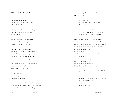#### YOU ARE NOT COOL ALONE

you are not cool alone eating a wet burrito across from a Louis V. bag like its a person

getting free coffee from the village bar where baristas fuck firemen and police academy

who fuck open mic night performers but are totally lost on you: (you are totally lost on them)

your Thai silk, rose patterned button up is overkill in a place where comedy shirts and polos reign supreme and there's still no one to impress no matter how many friends you make

after your third hour in any one place you're at the point of outwearing your unwelcome

if you're not alone you're going home w/ a girl you're not sleeping w/

she asks if she can kiss you, like she doesn't think you'll ever make a move, maybe because she's 'traditional,' and she bought you drink

more excited by the nasa foam mattress than the prospect—

> she's a writer she will run from you in person 21: runs from love

 but will text to see if you've read her story about a girl who kills her boyfriend but....doesn't remember!

the whole time you're just thinking about how nice it would be to be her dead ex-boyfriend you will have a dream about your verbally abusive ex-girlfriend (she looks like her...) naked in a pair of running shoes but the next day you will stretch for the first time in months, wake up from dreams outside you'll see clearly, shoes on telephone wires, even cigarettes are beautiful the morning has this effect on you

listening to 'The Employee is Not Afraid,' before work,

your gaze, touched by everything, tears in your eyes for once in your life glad, just to be alive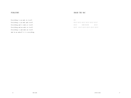# PURGATORY

# SMASH THE MAC

Everything is an ends in itself. Everything is an ends and itself. Everything and is ends at itself. Everything and an ends to itself. Everything is and ends an itself. And in an endself it is everything. XVI.

GUILT GUILT GUILT GUILT GUILT GUILT GUILT NARCISSISM GUILT GUILT GUILT GUILT GUILT GUILT GUILT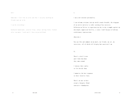#### XIV•

Sometimes I feel like an actor and that I can play anything my friends want me to be.

#### I can be everything—

backwards handstands, carnival flips, always smiling flush, flushed after too much, I work until I have no period blood.

I.

I am a new internet personality.

I can welcome everyone into my world—cosmic breadth, the wingspan of an entire universe—a cyber catalog of my successes. Follow me on Twitter to experience my day to day triumphs against my own deeply suppressed futility, a sense I dull because of obvious evolutionary repercussions.

#### [Suicide.]

You can like and comment on my meals, my friends, my art, my interviews, all of which will display how convicted I am.

VI.

There's a devil in me and I hide him when they come around.

I imitate their smiles to live beside them.

I memorize the best responses to their favorite lines.

There's no one in here except a bargain, blood contracts—thum bprints.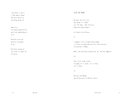I am [the/] a spirit. I find them to haunt and spill myself in: shrieking alarm [!]

Some of us will hang around forever until you acknowledge we exist.

She had to ask the wherever-I-go-ghost to go.

He'd been turning on the stoves at night for attention.

# LITE OF MINE

He holds the five fires and spasms it's lights over the bones, shot like dice chance/no chance/chance

all despite the offense.

II.

A computer fails to understand random, it creates an algorithm and calls these patterns (disjointed,) 'random.'

What's the difference between you, me, and the computer?

III.

 'This little light o'mine, I'm gonna let it shine, let it shine, let it shine...'

IV.

God asks the Dharma and the Destroyer of Worlds answers.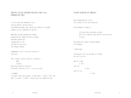# THEY'RE CALLED FRIENDS BECAUSE THEY CALL THEMSELVES THAT

I was wasting time looking for love, feeling ignored, wasting efforts with doddering women, who, unlike the toddlers we resemble thought love was something to look for.

Sometimes passing through arms (empty) congratulations (empty) by hearts (empty) and minds (heartless) singing praises like rattling tin cans after the shotgun wedding,

supplemental self is all they can bear to entertain.

 'Soft. Stupid. Jealous. Shiftless. Spineless. Weak. Fearful,' muttering (and only to myself) (of myself) (the only self I'll ever be with)

#### I remember:

It's good I know these people, to know what a friend' feels like. They're called 'friends' because they call themselves that.

#### UNITED EUNUCHS OF AMERICA

Done spending myself in the love-sickness of the love-skeptical.

United Eunuchs of America

with your hearts polished to gold only to be jaded by those who lift spit and soot to deity,

who spend their nights feeding longing with longing.

I understand.

Cutting parts out: my feelings are illegal my love is my sin,

and all I make is love and I do is love and all I am is love.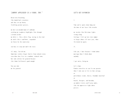## "JOHNNY APPLESEED IS A VIRGO, TOO."

Breed love breathing like dandelion's ejaculate and they see my beauty freckling greener grasses,

my hair an untamed mane of sunbeams catching my raspberry highlights like through a dream catcher my white t, like a white flag, waving in the wind my smile like a sunflower, suspended on fences by the expressway

too busy to stop and smell the roses.

It's okay, I'm with me. Sometimes techies forget they're from redneck towns even when they live in a rundown, redneck town, but take culture for granted because (for them) California's good enough.

You can take me for granted.

## LET'S GET DIVORCED

I.

Time you've spent alone hung out the door of our faces like wreaths

my insides like Christmas lights strung along feelings I left up late into summer to forget about till next year, when I'm turned on again.

II.

Like you, I hurt because I think about marriage when I think about anybody.

I get antsy, being me.

Let's elope. Promise ourselves we can fix our parents when I take you to live in that cottage, or porterhouse steaks, horses, Grandma's meatloaf or beards, beerguts, and boredom, an unholy trinity you'll pray under, like the oppressive light above priests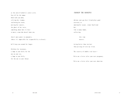at the end of Catholic's center aisle. You will be the woman who'd walk you down, reliving her traumas, swallowing her words, nursing her cancers, the ghost of her voice, something about how it's best to marry a man who doesn't know you,

there's more power in anonymity, (where it's impossible for responsibility to breed.)

he'll keep you around for longer.

Children for insurance, a lump in your belly for the one on your eye, a lump in your belly, for the one in your throat.

## /HANGUP THE HANGUPS/

obvious your gay best friend plays good accessory to emotionally vacant, stoner boyfriend but, like so many women, collecting

> this time neuters.

Acting better than instinct then pissing all over my virtue.

The security of double tied laces…

Write me a letter after your next pregnancy.

Write me a letter after your next abortion.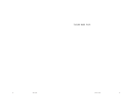TAILOR MADE PAIN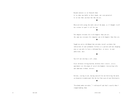Beyond contents as in—beneath them. As in—what one holds in their hands, not seen potential. As in—not what you have but who you are.

## ▣

Obsessed with seeing the dark side of the moon, as if thought itself was science to spoil it all for you.

#### ▣

You imagine everyone else to be happier than you are, the same way everyone else imagines you to be happier than they are.

#### ▣

Taught my entire childhood that mistakes weren't accidents but indications of your permanent failures as a person each one chipping away at you only to leave a deformed bust, or worse, in your addictions, dust.

#### ▣

You will not develop a self, alone.

Feral children telling healthy children their closets, attics, apartments are the pique of social development—interacting with, and sometimes without, mirrors.

## ▣

Envious, staring in awe, hating yourself for not believing the myth, yet desperate to understand, like the last four years of your Christianity.

#### ▣

 "Everybody makes mistakes," I told myself and that's exactly when I stopped making them.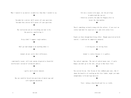What I wanted to say matters so much less than what I needed to say.

### ▣

You make her a mirror she'll answer all your questions. You make him a mirror he'll answer all your questions.

## ▣

The realization you are everything you want to be; the practice, manifesting it.

## ▣

Strip clubs? I support single mothers.

## ▣

Don't get mad enough to do anything about it.

# ▣

Animals do not settle their differences.

# ▣

—emotionally vacant, well-read, morons disguised as beautiful intellectuals instead of validation addicts.

## ▣

—guilty until proven innocent.

## ▣

May our youth be forced into positions of muted rage and self-righteous masochism.

#### ▣

Give me a reason to be angry, not the privilege to understand why you are. —which was actually the name for Pangaea after we invent the time machine.

#### ▣

There's something seriously wrong with the culture: if you start on stolen land don't be surprised if it ends with stolen lives.

# ▣

People are born through horrifying effort. Though conceived on birth control, I could not be completely unwanted.

#### ▣

A rotting pier; my rotting focus.

# ▣

Animal is sinless because it is godless. ▣

Too radical sometimes. The root of radical means root; if you're hungry you don't go to the root, you go to what bears fruit.

### ▣

Too excited for me, like I'm one of the stubborn poor ones, who if shown the benefits of crawling up the class ladder, might just make enough money to be marriage material.

## ▣

Trust: taking a deep breath and lies as truths.

#### ▣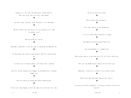Because if I left you, you would have so many choices. Take care of me: pets are easier than people.

## ▣

Leave me: alone. With me: alone. By myself: less than both.

## ▣

Why do I obsess over the details in love and gloss over them everywhere else?

## ▣

Only my needs are selfish.

# ▣

Building a subculture is not the same as replacing the dominant one. ▣

Art Historians: Be a fan or a professional. Don't be a professional fan. ▣

A suicide case: collapsed under a life heavy with...meaning.

## ▣

Restless in bed, bloated with thought, my notebook like a faithful chamber pot.

## ▣

"You will always be around that kind of humiliation."

## ▣

We wear out songs hoping to feel the same way we did the first time,

the way we wear out friends. ▣

More tattoos than personality.

# ▣

Steve Jobs: Martyr of the Technocracy. ▣

I live in a place where touch has a stigma. ▣

## She humanizes patrons and patronizes me.

▣

Even the handshake is a competition. ▣

## Wore my most gutter to the show and still felt like a Christian. ▣

They call you buddy because they're worried you're gay. ▣

# Sometimes I fuck girls so they'll stay friends with me.

## ▣

Hard to not know who looks down on you, exactly.

#### ▣

If you have no faith in humanity, it's because you have no faith in yourself.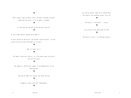# ▣

Their leaders rape children. Their followers worship rationale. Ignoring your needs is, by no means, strength.

## ▣

In the end you can only be one person: yourself.

## ▣

In your fight against apathy you become it.

In your search for neutrality you become a perfectionist. In your search for perfection you become an extremist.

## ▣

How it's made: H.I.V.

## ▣

We choose truth over reality: as if personal space dictated a private existence.

#### ▣

The aphorist: proletariat-yuppie in the manufacture of new Americanisms.

## ▣

You did not make the friends you think you did.

## ▣

Stigmatize need—call that independence.

## ▣

You can be greater than every indifference. Passionless the speaking corpse lives on!

Nostalgia is a masochist's regret. ▣

▣

## Jesus died so you could work for him. ▣

The positive spin is so fucking nauseous.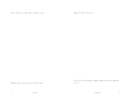Better an honest scourge\* than a dishonest saint.

Imperialise what's left of us.

Nothing scarier than the privatization of ideas.

 "This guy will do anything to engage someone except have something to say."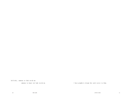Selfishly, someone to look inside me.

someone to [want to] look inside me.

I have prophetic dreams but you're never in them.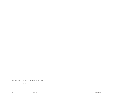There are needs too base to categorize as 'need'. Love is in that category.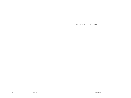A WHORE NAMED CHASTITY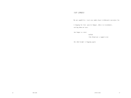# /LUV JUNKIE/

My new capability: traits my junkie heart withdrawals nostalgic for.

A longing for love: passive hunger, obese in resentments, cutting down on tears

(no longer as sweet

milked

like blood out a tapped vein)

the shed weight is begging again.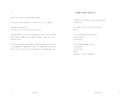II.

Mutant case of big fish small pond syndrome.

Pride has a way of showing all 5 faces in all 5 fires blank.

Sculptures need negatives, love chisels at it but stone fruit leave pits.

Chew your food twice over feed the paste to your ruins faced enemy. Fibrous mash twining from one mouth to another, money-shot seed, parting itself.

The safety you feel in your anger stripped you naked with the loss of your impotent righteousness, where self-immolating in protest of Self, you're the man with a lit Molotov at the candlelight vigil.

I belong to every woman I won't sleep with when I'm with you.

I'm a whore for you: virtuous to everyone but me.

I will sell honor for our security, because I'm yours, I'm everyone's.

I will walk chaingang with you, prison break into our love, where Freedom is it's own consequence.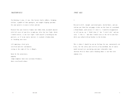## /MASTURPIECE/

I'm throwing it away, w/ you, like factory faulty rubbers, brimming with me, a puddle of fake apologies, not-caught-slipping specimen for your pain(t)s to nurse to here and now.

Painted like your favorite framed, knit hobo clown, my mouth smeared with left overs of your kiss to make-up, after the last fight, which I would realize, is our last fight I smile myself [ watching my own portrait, as if in my vanity (mirror) (i cracked) ] broken down to breaking into tears

till emptying a feral grin, terrified and over sentimental, crying at the sight of fire is Mowgli,

burnt by the earnestness, gagging slump-crumpled, back into cavernous blindness, where even breath echoes.

## /POST AGE/

I.

Dressed to kill, tonight: patterned pants, heeled boots, and you told me you liked the sad puppy sticker on the front of a notebook, a blood hound, you'd ask me if I drew it, I would be disappointed to tell you no, no, I 'didn't draw it' but 'I wish I did.' and you said, 'I like it.' And then I would stare at the red in your hair while you talked with my brother in the kitchen.

This is where I should lay out my feelings for you, conveniently cut & dry, for the safety and sterility of my notebook, but of course would instead text you during your most vulnerable times (between 10 & 12) where you're thinking about it too—but with someone else.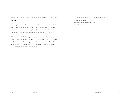II.

Puerto Rico: the only place in America where you have to speak, good English:

Please—give Tere an hour of liberated silence in which to scribble herself out to me like love is a foreign language and she has to learn it all over again and explain it to me on paper. Not because she actually forgot—just because it comes out better that way.

Make that hour feel like a prayer or confessional, where the obligation is forgotten in the rhythmic chanting of soft paper under hard lead or the purr of a ball point rubbing up against the legs of her 'after-a-long-day' so she can feel a hiccup of ticklishness up her calf, give her goosebumps from goose-egg.

III.

 "I feel like you have to be dumb to be that in love." "I want to be dumb." "Everybody wants to be that dumb." "I am that dumb."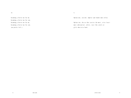IV.

becoming a better me for me. becoming a better me for you. becoming a better me for me. becoming a better me for you. (no petals left.)

V.

Option one, suicide: emptier and louder more often.

Option two, the ox that carries the most, cries least: more substantial, softer, rare like jewels or girls who write back.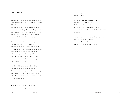#### SOME OTHER PLANET

A bombed out suburb, like some other planet. Stone grey granite and life taken for granted. Cabin fervor in the bones of techy domestics, who promise to mind their own business, if it's rednecks setting the 4th of July leftovers until somebody's dog kills another body's dog in a panicked act of instinctual recall. Where the pets feel safer than the people.

The complexes, next to real houses, stained like Nagasaki's silhouettes with the smell of pet stores and cigarettes. In front of one given a loveable family-style home, a sculpted lump of rust resembling, a lion, a royal conduit for an MGM yawn, leeching the color out of a nearby palm, only one head taller than me, like a ghost would take a mans breath--

somewhere this summer, sucked dry like Slurpees by anemic-thin highschoolers, fitted in fitted caps, as if their souped up Hondas were sponsored by the energy drink brands embroidered into them. (This boy was brought to you buy Monster.)

Dying of thirst diabetic sun decides to burn through tye dye sky, a nauseous cotton candy and us, noxious.

More to us Americans than meet the eye. People wouldn't notice, though. They' re boarding up their windows, locking the doors, and raining sirens on anyone sane enough to want to leave the house screaming

accented death in the rubble of martian rock replacing our lawn. (Pumice-stone.) Because we learned 70 years too late that lawn has been 70 years obsolete.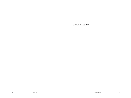CROONING NEUTER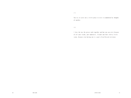$(-)$ 

You try to carve out a little place to exist in unmolested by thoughts of another.

(+)

I love the way the pieces work together and how you can exist because of all your trashy, post modernist, friends and their shitty little scene, because even hating you is a part of my blessed existence.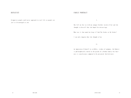# DEFEATIST

# Stigmatize people you'd never approach in real life so people are just as discouraged as you.

## FAMILY PORTRAIT

I.

She fell on the ice with my younger brother inside of her and she thought to herself that she hoped for miscarriage.

What was it that made her keep it? God The Father or My Father?

I can only imagine what she thought of me.

II.

An impression of himself in scribbles, strokes of automata, the Dadaist is philosophically rooted in the psyche of a broken family—his business is senselessness composed to be presented: bottled water.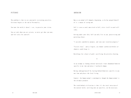### PITTANCE

The problem is that we are constantly restraining ourselves. Existence begins at the end of Personality.

You want the world, it doesn't see, to perceive your virtue.

You act only when you are certain, so never get what you want, and feel sorry for yourself.

### ARCHAISM

Man as an animal will demand a beginning, as he has purged himself of it: a means of seeing now.

Self is seen as need: man wired to Self, wires itself to need selfishly.

Getting under your skin, Self can only live in you, parasitizing and parroting always:

"I can only cannibalize purpose, and (you can) record my progress."

 "Crystal clear," and as fragile, an element synthesized before alchemists could forge it.

Metallurgy for a heart of gold: sacrificing the priceless beating.

## II

In an attempt at finding cultural universals I have abandoned behavior specific to my time and place—I am barely human.

Having sabotaged myself by leaving behind behaviors specific to any one time and place—the feral living.

Counter: the human-animal is maladaptive though the human-animal is the ultimate predator.

The truth behind civilization is that it's the total inversion of the natural world, surviving only on specifics, on the necessary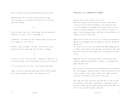skills in the here and now and annihilating history and nature.

Congratulations: the cities have swallowed up the villages ;like you forgot to spill blood on the frame, and it's Passover: your aeon is coming.

#### III.

I had lost myself that year in lucid dreams that have no physics lawlessness is gravity— that I could commit to.

I found what I lost potential like vitamins during a pissing I had with a competitor I never lose to.

Goliath is a mass of people I saw when I saw their white faces cinched with smiles zipped tight like the top of a dimebag.

#### .IV

In a past life I was a rich foreigner, I emigrated to America for an even greater fortune, then I died and woke up a poor white American.

I live in between these two lives. I have dreams of the future.

I hope to wake up in death and understand either one but by Karma's logic, had I been good, I wouldn't have been born at all.

## NOSTALGIA IS A MASOCHIST'S REGRET

One day you'll call me. You'll be the first one. Walls will freckle in artificial suns by the time it takes you too. I will get an ulcer from all the thoughts of you I drink at my desk. I will fill notebooks with thoughts of our potential only to be disposed of or hidden in hardwood, tell tale, could fit a person—in a choice-illiterate Utopian society— and I had a reason to hide you. Or someone to hide this refuge from.

Embarrassed by the sheer act of will it is to keep you in my memory as opposed to my childhood— must have replaced it with you, and how you make me feel.

All the best parts of forests and baseball and skinny dipping instead of showers, and fireflies on the walk home, and glowing war paint from their guts, and you were like school to me, in the margins of an education.

Hoping that the stars on one night would be swallowed up by light pollution, and pollution pollution—Los Angeles is a good place for people who want to die.

You're the girl I write my wills to, my suicide notes are in your mailbox. All my sappiest truth drips from it. Bled out into your ears with all the strength it takes to put a cigarette out. [Under your heels, on the sole of your boots, on the soles of your soul.]

And I know you're older—and you're even older now. It's not just that the world bows to that walk, or that Marin is either meth or empire and you're neither—and that fucking slob you called a boyfriend— you were so tired of being what makes a man lucky.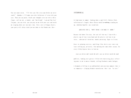You can count on me. "I'll love you like every man before me never  $\textit{could."}$  (hahaha…) I'll make you wish-follow me-if even with your eyes. Then you can point, brush your thoughts over me with a white finger, call me out, a wonder, and 'how bright' I am and'how fast' I'm gone, you can wish, you can pray on me with your eyes and watch me reigning down just one more time, like a nest of hungry hearts, your party will chirp slack-jaw-awe down to the blonde one, Dee—

#### INTEMPORIAL

At high noon in summer: looking down a small hill, Dolores Park, rollercoaster's length, where Chiara would be walking standing me up, suburban hopeful, any second now.

[RECEIVES TEXT.] "DON'T THINK I CAN MAKE IT. SORRY."

Because she knows I'm crazy, she can tell the way I lean with a plastic cup of wine in my hand and the plastic red lean in my voice...substantial intention. Anemic posturing. Eager to listen.

Grass in spinning curtsies, unwilling—like skirts over vents—my tears welling up, privately, like morning dew some other season, for every filthy hipster here to feed on

(race car drivers don't watch the wall, race car drivers watch the road)

publicly, looking over gutters filled with shattering glass reflecting more to me in morse—beaded, rolling blackouts under halogen.

A diamond at hilltop in an unblemished semi-precious moment—that is so temporary - clinging blanket-consolation: that I am "so rare."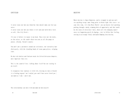I.

It never turns out how you think but that doesn't make you feel any worse.

It never turns out how you think it will and your milk white feels so soft, like Lily Petal…

I'd seen it before—in repeat in my head. These were not the words, or the voices, or the touch—these were not at all the pangs or places. [Trashy. Parent's couch.]

You and I put a perimeter around our existences, our surreality handled neatly, with the clenching hands of crane game prizes, wringing claw.

We dust old shelves and find new words for Silverfish-eaten chapters, more important than ever.

This is the sound of love: talking about itself but not turning in on itself.

It recognizes fear replaces it with life, kissing in time yr breath is a feeding orgasm I am I on [to] you-and I have never loved you | [as much as I do] | until now.

## DESTINY

Where destiny is Space Mountain, you're strapped in and you can't see anything except some flung paint in black light like stars— except this time, it's like Water World— you can barely feel anything pushing through a murky swimming hole of opportunity and that would be the sense of direction I have, where all life changing experiences are happening purely by hoping— just to follow that feeling, tossing in an orange floaty and maybe bumping into destiny.

.II

The relationships you have with men make me hate myself.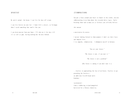## SPIRITIST

My spirit animal, the hyena: I can live for days off scraps.

I can live forever on your fat— I know life's a desert, so I'm happy when I catch something that smells like you.

I can drain marrow from your bone— I'll chew on it for days till it's as soft as gum, leaving nothing but the mess behind.

## ff COMPOSITIONS

You put a fence around your heart to funnel in the crowds, outside rubbernecking in on them about the retarded white tigers. You're breeding them—and so many are yr failures you selfishly believe

this mutant

a masterpiece by nature.

I am not looking forward to them anymore—I don't see their faces and imagine lives.

I try empathy, rehumization. I dehumanize myself in balance.

"You are your future."

"The future is now, if you want it."

"The future is not a problem!"

[The future is coming if you don't want it.]

...fearless in approaching the face of no-future. Fearless in approaching the faceless an ambitious Crest® brand smile beaming—

taxidermied from a slobbering striped mongoloid harvested for a Chinese charm-tea.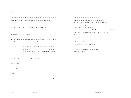.II

You forgot about the time you accidentally had pedophilic thoughts about how you were capable of having pedophilic thoughts.

 it ended in visuals • • • what does that make you? —

my paranoia: my chalk circle

• Your father wants to fuck your girlfriend, who says, to herself,

• "Your father wants to fuck you," (?)

because Dad has dreams of fucking her dead mother who is her dead ringer. The sister misses out—Dad's never pinned her to a couch.

"You have the same dreams, motherfucker!"

Protect them

at all costs

from

#### .III

Horror vacue: your fear of blank space drawing on today's dread of anything relaxing for fear the police dogs are sniffing at your door for the day you spent stoned, (to and for yourself) you missed the call from work and now they're breaking down the frame, like Samson chained by guilt with the birds in his outed gooey eyes.

Pedestrian without forward movement, civilians less human than Sharks.

If you think you have a moral qualm you're a function—

'\_yself.'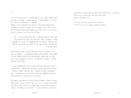If you believe the pleasure on both ends simultaneously coincidence then you are a Christian, and I hate Christians. [Coda at Paragraph 4.\*]

f—We deny ourselves ourselves for areselfs. ff—We all exist in a vacuum, mutually exclusive.

If I sat here and really stretched myself, if I really thought about you hard, in attempt to understand you, I would probably still hate you. There are limitations to sympathy.

Though we have discovered our greatest evolutionary bond besides endorphins released on orgasm: mirror neurons—still, when a white person watches black person's hands get stabbed there is less neurological response—says the Lab Coat Clergy.

So...I stop thinking about you. I stop dictating my time around you and what you value. But once that slide is removed, a blank backlight sits still. It's humming makes me nauseous. Death and the light at the end of the tunnel are the same feeling: and therefore the same thing.

People believe they can think themselves out of situations. My father for example —is approaching impoverished schizoid. Overwrought with the thoughts means you wring emergency supply down, dry and pact. You are plugged—as soon as you unplug life support. I think therefore I'm fucked.

\*I stop thinking about you and think about the next person. Hate is replaced with infatuation. Feelings of desire and security emerge. I consume a woman's emotions like I consume her body as pornography. I rationalize your lifestyle with my non-judgmental prejudice towards my own. I avoid pain in every sense.

You imagine fucking her—you feel like you should. Silence is death. Blank space is where the devil gets in. Fear is a motor of bleeding white noise. White noise is as comforting as the recurring repression of excitement at your child's (erotic) nibble at your breast.

.IV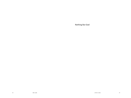Nothing But God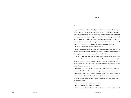#### In A Fit

//

My determination to leave the village is in direct proportion to the feelings of futility it bred. Santa Clara's a town that, had it not been making trickle down money from its urban hubs, could easily be mistaken as Salem as much as it was seen from outsiders as a signpost of prosperity. We knew it wasn't: witnessing out a 9x9 gridded window, from across the lot, a burglary, where a hooded figure darted into a cage-link door and ran across the only light on in the invaded house. He ran out, with something in his hand. A thin dripping trail of blood, snailing behind him.

An invalid picking a fight in the complex parking lot.

Enough domestic disputes--the sirens running up and down our streets like jockey's, like race dogs, like vermin look for heads to break, lead pipes to busy themselves chewing, Karen Drive was a place regularly combed by police.

The S.W.A.T. team was called in once for a suicide attempt gone hostage situation. Where some Marilyn Manson fan pressed a gun to his mother's head swearing, 'I'll kill her for fuck's sake, I'll pull this trigger if these cops don't fucking leave. Just let me do it in peace." The entire block and myself rubbernecking, watching without enough fear, like it was daytime drama.

 On independence day a gunshot I whispered to myself, like a mantra, was 'only a firework.' Out of my window I stared at the lights swelling into the scene. All I could see was a pair of Jordan's soaked in blood poking out from behind the tires of a cable van across the street. Safe in here, you think to yourself. It has nothing to do with you. It was just a man with a heater on a bicycle, left out for too long. Are we lonely out here?

At a certain point a even a pig's baton is touch.

Living in the suburbs but never really invited.

The corner next to the record player, with a joint and an introvert: my neighborhood.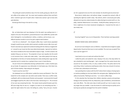The pretty girls would sometimes stop in for the novelty, giving you rides for artisan coffee at the outdoor mall. You never went anywhere without them and that's when I started to get sick of myself, when I hated every woman I got to know who paid attention.

Animals go blind living in the dark for so long.

#### ///

My car broke down and I was sleeping in it for the week I was waiting move in. I stayed in the area I first parked in, paranoid because it was stuffed like a pinata with what I belonged to--my hereditament: clothes, a mattress, and my house, a car. Offered seamless transfer to one of my job's original retail locations.

I met him at a Starbucks® , the cheapest coffee shop I could choose populated enough to avoid my own murder, which seemed a sensible concern after my ex- girlfriend's classmate was raped and murdered meeting with the infamous Craigslist Killer. I sensed he was insane but like many determined people, I ignored my instincts. The science minded are the most vulnerable to lapses in logic. A mind's contents: the weakest thing you can rely on. The projection of your own equality into the world is not insurance from a snake eats snake reality. I was either going to be hung up, decapitated on the fence of nearby development, body winding down cage-wire like a gnarled root of a nearby tree, or going to have a room in Santa Monica.

 He sat in front of me awkwardly wearing a yellowed white -t under a heather grey zip up hoody. His appearance was disheveled, he had beady eyes, thick black hair, and 5 O'Clock shadow—kept asking for the deposit.

"I want to see the room first."

 He shadowed me to an ATM where I pulled the money and flashed it. Then I followed him to the complex and was told to wait outside. There was a conflict inside, a yelling fit, with me embarrassed, flushed, and nauseated. I summoned all of myself and dragged myself by the collar to the front door, hammering on it. The ex-tenant of my room was answering the door. The master tenant pushed forward, past him. Off more drugs than he was on, I imagine, he swore to me everything was fine. I spent the night inside of his room, him telling me, calmly, "Sorry, he's just...frustrat-

ed. He's supposed to be out of his room already. He should be gone by tomorrow." Nerve-burnt, totally alone, and without refuge, I accepted the cartoon's offer of spending the night but couldn't sleep. My instincts, which I consciously push aside, allowed me to tap into a determination for safety that kept me wired until 4 a.m. Stupidly, I watched Blade Runner in its entirety. I finally fell asleep, waking at 6:47 a.m. from a nightmare of an Asian Lieutenant strangling me. I moaned into the room, it was empty now.

//

Scouring Craigslist® was an act of desperation. There had been warnings posted:

#### BEWARE! ROOM SCAM, SANTA MONICA!

Do not trust room listing for room on Wilshire. I responded and arranged to supply deposit when I found out there was no room available. The room was occupied! Then never saw him again!!!!!!

#### I went back to my car to wait and confront the thief.

I called the police and waited for news. Staying in the area a few days before he was scheduled to start working again. I got a message from the master-tenant who assured me 'the situation is fine, it's only a matter of time.' The police told me the same thing. Unless I could prove anything was stolen, there was a breach of contract, or if there was a disturbance at the house.

I was spending time in places with free Wi-Fi where there's always a hissing espresso machine prodding me into tears before the next game plan. Fighting hard for the safety of anonymity "Nothing to see here..." as I cried in coffee shops.

It's the suburban fear that keeps their children suburban, poverty and psychopathology are the mainstays of the city. Debauchery, open mindedness, and excitement were side effects. The cities were okay to build yourself up in but no place to stay any longer than you needed. It was the threat of a child learning too quickly and in learning too quickly be estranged from the world it inhabited.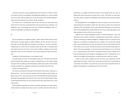Curiosity is perversion; anyone displaying too much emotion is a threat. Curiosity is an interest, interest a vulnerability, vulnerability like walking in on a roach crawling out of your drain. After the lights turn on and the screams have finished tripping in waves across the porcelain, you put him out like a cigarette.

You could be him—scuttling back into the sink. Get what you want when they throw their fit, know they could spend their lives terrorized by your existence…but adapting to your surroundings too much was considered maladaptive itself. In a world so transposable, inconsistency was adaption.

## //

The sun's purple over my rightful complex. I notice a letter tucked under my windshield wiper, and begin slipping a phallic forefinger into the soft lips of the envelope when red and blue lights were barking in my periphery. The siren sounded in chopped taps as it drove into the driveway almost up the stairs. A shouting match that slowly came into ear's focus. He was there, holding a mattress over his head, prepared to throw it over the balcony if the tenant stayed any longer. He'd promised.

"Goddamn it! You fucking creep—I just moved in here!"

The police leapt out of the car and walked up the stairs. The white man with his hands around his belt, pulling up his pants, his elbows bent at a 45° angle. Leading the patrol with his puffed up chest followed by a black woman with a short braided hairstyle and baton out, clapping it, classically, into the palm of her free hand.

"What's the problem here?"

The white cop shouted to interrupt the fit by threat of force alone. Authority is a threat by force. The man threw the mattress off of the balcony and the black cop kept her gun on him. They rushed up the stairs to finally detain the delusional pathy. What about being sheltered too long can drive a man into the determination it takes to stay locked away all day in his room, away from the work, away from the sun, away from the fair?

We're satellites inspecting one another; constantly praying we can make contact. Communication is so high risk we have a barrier at all times. We don't like hands on interactions, we imagine the heat and pressure to be enough to burn our skin, so feeling itself, heat and pressure, human touch is alien. The police are social lubricant; they acted as a physical manifestation of the modern world's practical material mindset.

The pigs grabbed him and dragged him down the steps, he was laid out like a carpet being slid to the bottom, where then, like a blow up clown, he was beat into submission, fists raining down on him, with a pigs baton following as an accented up beat. He was gurgling blood, slowly pushed up and out by a spasming tongue, loose teeth spiraling in and out of the mess in his mouth.

I watched it all, running immediately to offer a concerned testimony. I felt I was watching my life in perfect cell division, repeating itself, squared after. Existence in the Nth, functioning on artificial intelligence, intelligence itself. The suburbs are following me, my suburban is showing, this was a mistake. I turn on the radio, leaning back in my seat listening to the slow churning beat until my vision blurred and the tears stream across my eyes. Vacantly burning for vacancy while burning inside sunbeams. The sky was red again, my vision red, the sound closing in on me, all around me a crushing presence, the present. The positive would say plans change and to keep moving forward. Even though my Shakespearian fate is screaming for me to submit to the weight of homelessness, no matter how safe I really am in reality.

I closed my eyes, which coughed up their last bouts, tears sputtering, like the death rattle of my Saab, I heard it die, turned the key and heard it momentarily be resurrected. My initiation—my primal rite. It was all as black as life before birth, its gestation the big bang—everything stems from this moment.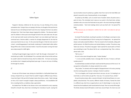#### .II

#### Father Figure

Trapped in Barstow, California for the next hour, he was thinking of his arrival, somewhere else. Trying to focus on staying in the lines, he thought of the last time he had seen his son, the feeling he hadn't seen him since 'staying in the lines' was advice he'd given him. That's how Taylor always imagined his children. The divorcee hadn't seen his children in three years even though he lived in the same state now. His eyes on the road were both vacant and burning. Taylor's son once dated a girl Taylor was convinced was a heroine addict, a woman he strongly disapproved of, she had the same exact look he has on now. It's the same look though, it's like the train wreck of a heart—something gasping it's last breath, stuttering it's fucked death rattle, before flying off the rails in silence and slow motion. It was the only water running; the head was empty except for traffic lights:

Scrolling through Google image results for 'waif,' like through a Viewmaster®, his mind held up to traffic. The 3D Rollodex® for a reminder, both of how he felt and how he couldn't admit to himself, but knew, that his children felt. His heart was burping up emotions but it stopped pushing blood years ago—it was an ant race of shifting lint through his arteries.

## //

He was out of the shower now, staring at a hotel bible in a half-pulled drawer buttoning a striped shirt up. It wasn't that he couldn't imagine a different way of dress; it was that Taylor's life was full of Sunday's bests three times a week. Taylor had age on him; at 52 it wasn't enough to topple a deep youthfulness. His Grandfather left him a receding hairline, as baldness skips a generation.

He looked from The Bible to the dresser mirror and stretched his neck, exposing himself to himself. Grey chest hairs reminding him ironically of youth. Leaving the top two buttons loose he picked up a golden chain from next to the hotel Bible and placed it around his neck, framed perfectly. A cross dangled.

He picked up the Bible, such an ancient tool of wisdom where all points were a point of entry. This mimicked man's stance at our point in the food chain, tertiary predators who can access the food web at any point—the most enduring and highly evolved predator. Tarot Card readings where Luck was God's will. He opened The Book.

16So, because you are lukewarm—neither hot nor cold—I am about to spit you out of my mouth.

He closed The Good Book, touching his pendant, his forefingers scanning its rocky surface. The emaciated body of Christ running into his fingerprints. He opened the drawer and neatly tucked the Bible in. Then he moved to the his bedside, sitting with perfect posture. He lifted the phone and started dialing a number. The phone rang, Taylor was nervous. The phone rang again. Taylor opened his vacant palm as if there was something to read. The phone fed his ear a computerized ring. Then a silence, almost with a click.

"We're sorry—"

His son's voice came through the static, "Jordan Stookey."

"—is not currently available, leave a message after the tone. To leave a call back number press 9."

A sustained beep sounded and Taylor could now feel the pressure of him on air. He was good at writing letters; he always wanted to be a writer.

"Hey, Jordan," he started, with the weight of disappointment in his voice, pressing into the receiving parties receiver. A whisper of what it could be—

"I'm in Los Angeles, and I've got some time to see you, my son. I'm heading to an event later, so call me when you get this. I love you. I'm so proud of you, Jordan."

He put the phone down after a second of breath. He laid himself down on a completely untouched bed. The accents, different shades of browns, framed the sheet in a different way. Each line an opportunity to see it's blank beige in a new way. He leaned into the headboard, both hands behind his head. Then he turned off the light. The blinds already closed still leaked a small trace around Taylor. His chest rose and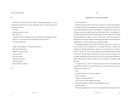#### //

The blood rose to his face when he heard the phone grating against it's casing, it growled until Taylor found his eyes rolling back from out of their sleep and he reached for the phone.

"Hey, dad."

Like he was eating, "H—ello."

"How are you?"

"I'm good! I'm in the Los Angeles area, I was wondering if you wanted to meet up." "Yeah, sure. I can show you around Santa Monica. Where are you?" "I'm closer to downtown."

"Alright, I'll get ready now—it'll probably be an hour." "Okay. That sounds great." "Alright, see you soon, dad." "Love you, Jordan." There was a pause. "Love you too. See you." The phone clicked. Taylor put down his receiver.

//

#### Communion / Uncommon Unions

.III

#### "You're driving now?"

My father had never seen me in the driver's seat before. He had never taught any of his children to drive so it was magic he could be given a tour of a town he knew for so long. My eldest brother was born in San Diego and Los Angeles was an area so full of life and culture; he couldn't help but stay for weeks at a time. For being bred in the sticks, dad had a cultural understanding deeper than some of the most educated urban-blooded peoples. Maybe it was the Frank Sinatra he had been exposed to opening his eyes to a world of lights, brooding with potential that both attracted and frightened him. In this weird way, he was a star-struck hopeful.

His upbringing had given him beauty—the gifts that only nature can nurture in man. It's stillness as vast as traffic jams in Los Angeles, blackouts in Oakland, the satisfaction of feelings of belonging in a place so new and unnatural to you that you thrive in it. Some of us, in sink or swim, always swim, while the passivity that comfort breeds makes even the fiercest minds go soft—clay in the hands of context. Loveless labors made daily that by sheer force bore the spirit into absolute submission. Deserts where even the most stimulated—the most introverted—are sawed through like butter.

"It's great to see you...my son." he smiles and a puts a hand on my shoulder, adding comically a dramatic my son but mostly out of an sincere guilt and insecurity, a reminder that I'm,still, his son.

I smile.

"It's great to see you too, it's been a long time."

A motor was lulling.

"What're you doing down here?"

"Oh—I'm here for work, building the business."

I'd been distanced for so long the phrased triggered no recall.

"With the Tribune?"

"No this is a separate thing, it's an event. I was wondering if you wanted to come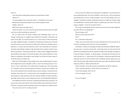#### with me"

I was stone faced, looking away and when turning forward, smiled. "What is it?"

"It's some speakers from around the country. I'd really like it if you came." Brevity was pressing hard enough to press sweat through my collar. "Maybe...what is it?

What do you want to do right now?"\

"Show me around—it's your neck of the woods. What would you want to do right now if you could do anything you wanted to?"

The sun cleared even the South's infamous and suffocating smog. It was cut through, clearing way to a sapphire blue, tickled by the feathers of tall palms, the frame of any sight. You could only look up. In so many cities you felt consumed by your sight, weighted by greys in complexes and businesses burying you to only feel concrete and your eyes, the pressure to watch with a fearful eye counting cracks in pavement, as if open eyes and awareness weren't only impossible but uninteresting. Cities claustrophobic, heated, air like the breath of its occupants. Death in every bored conversation—everything sounds like a mutter, bodies dragging themselves back-shuffle into the safety of chain link front gates. Door knobs handled by so many before so nothing was old enough or new enough. You could never break a space in or feel the history of it before you.

What was it that brought so many people to the same crowded spaces? It wasn't the immigrants that came with gifts to offer it, wasn't the shining promise of commerce—it was a myth built on the rusted bones of predecessors, the myth passed on in whispers, part by commercialized local histories and part by the settlers, the new money sucked all of the primordial talent up and is pissing it's remnants all over territories new money live in. Centuries ago it was acceptable but here and now it was the glue of a myth, passed on from the suburban satellites of interest and like a dime bag, hand to hand in a cycle making every major city something like Hollywood.

The hotbed San Francisco used to be, its political and artistic history was gone. The women who made it were buried. They could not afford to be buried there anymore. Sid Vicious, arrested for public intoxication said it all, his hypocrisy as a pillar of punk:

"You can't arrest me! I'm a fucking rock star!"

In the end even the infamous are seeking fame. Recognition in a society where on some fundamental level, the most immediate, it did not exist. In the end everyone just wanted to be an icon in a world of symbols—even if it meant being a rune, a hieroglyph--anything but nothing. Anything but what we are right now. A goal so huge and unattainable it seemed specific without a specific plan, just need. That's what brings us together—need. No one doesn't have it.

"We can go the Boardwalk and then Venice and check out the shops. Whatever you want. What're you feeling like?"

"Are you hungry at all?"

"Yeah, you want to get some Pho?"

"Pho?"

"It's...a Vietnamese style soup."

"Jordan, do you remember when you were really little and I took you with me on a trip from San Diego to San Francisco. You were probably, 8."

I remember it, vividly, as the youngest and least traumatized by childhood. Repression was never a necessary survival skill. I had always been the most proud of the pride and my rebelliousness left me unbroken through all the attempts at caging me in God the Father's discipline. As family keeper, I remembered with both eyes the most vital parts of us. I gave them all of my attention. Seeing more good than bad naturally I was hero to my four brothers who in childhood severely rejected me as an other. My annoying, clingy, tendencies drove them away. After seceeding, the family motto was, W.W.J.D., 'What would Jordan do?'

"Yeah I remember. I found the journals you kept before we left for California." "I wish I would've kept those, I think I threw a lot of that out..." "It even had drawings I did in the car." "It was so long ago." he said.

"So, you're hungry?"

//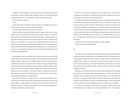I stopped in a well-lit parking lot we had to pay for in West Hollywood. Dad got out of passenger's side and I followed after, leading him down to an animated Pho bowl pouring itself out in neon. It was packed so I asked the waitress for a time.

"For two? About 15 minutes."

#### "Lucky..."

Outside the weather simulating a damp room. Dad was sweating, the sunburn in his face had time to calm, he was still swollen, but better.

"So what's it like to finally be out of your mom's place?"

Dad was rubbing everyone the wrong way with a speech about how 'the boys needed to earn their own keep now' that we were older, last time he visited California, before his life-affirming move of familial desperation. Wondering what 'the boys' were still doing living with their mother, though at the time to oldest was 20. Dad was a strong believer in the myth that everyone got what they deserved, and that there was no explanation except for lack of willpower for a lack of anything you needed. Both financial and psychological bootstrapping were his core beliefs, as an in denial, at risk, schizophrenic, and ex-alcoholic. His children who had failed to meet the standard disappointed him.

Good intentions: really just another way to conquer. Dad never made a full child support payment since the divorce, and Mom, used to doing everything herself, felt hopeless, taking no legal action. Her helplessness was the rich girl syndrome found in Nihilistic women who see no better future and who's longing to help themselves, undermined, turned into sympathy for others. Literally translated—pathetic. Mom was well cared for in her youth, in better conditions than she'd ever had in America. Feeling sorry for others whether or not they can afford it. Helplessness and a dream deferred made men iron fists of authority, domestic fascists, women: paper millionaires, golden ring prostitutes, or philanthropists.

Dad's failures were both as a human and man. He had somehow failed to keep the woman of his dreams with his plan of burdening her with children and his moral rigidity offered a weapon against his children who out of laziness he also felt he needed to control. He couldn't be too involved as he was already so wrapped up in his empty aspirations for a generic success.

But with me, he was bored enough of it to pick up again, and in me tried to find the children he'd abandoned. He had left them and now he could do them the favor, coming back to save them from their fatherlessness.

He would write me letters of apology but we never answered his phone calls and all his letters were the same, except they took twice as much effort to complete. He took every chance he had to instill his values because if he didn't have paper, if he couldn't have publication, he would live on in his genes forever. But no one's genes are theirs anymore, in fact, the amalgamate belongs to no one. A child is brand new, it hasn't previously existed in this combination before, the benefit of sexual reproduction is that, unlike plants, there is so little of us in something made up of so much of us. The apple doesn't fall far from tree, but people eat apples and their lungs don't shit oxygen.

I was careful to answer the loaded question, smiling in disbelief. "Well, it only took me three years dad."

//

We made it to a table, following the empty, shaking skirt, to glasses half-filled with condensing ice water. She guided us to our respective seats with an outstretched arm that whipped at its fingertips and lit our chairs. Planting ourselves, tucking ourselves excitedly into the edges of a chair. Once we fit, the waitress handed us the main menu and the drink menu, a menu Dad handled with a fearful respect, his hesitation reminiscent of the weight of a Bible. It filled his palm like a scale and it slowly dropped to the table.

Opening my menu while the sound of hooves clicking trailed away into a swinging door, behind it, cracking glass. There were televisions in the corners of the room; all muted but almost as bright as the tropical aquarium lights. I sat in the booth side, looking at a small plate perfectly blank on the black marbled desk, with green and mild greys swirling in itself, the murk of a simulated naturalness. Past my hands that seem more brown than ever in this light and up into my father's face, unavailable.

The memory of throwing ice down dad's t-shirt, tucked in, during a drive down from Michigan back to Indiana; he was selling somthing then too. Or shouting at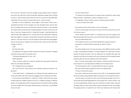him in front of a television, across the cottages mangy, spotted carpet in between the ends of the ratty futon. Accents of gnarled, splintering, wooden walls. Shouting as loud as I could to wake up this 6 foot tall, tank of a man from his blue-light high, stoned after the hours of just as vacant factory work. It wasn't his fault.

Dad kept a tin tub of Bag Balm®, whose tagline, "every farmer's friend," was a medicated hand balm for the strongest and most damaged hands. Farmers after hours of milking cows end to end would have callouses for palms, a new hardened skin would create a permanent pair of gardening gloves for hands. He was never all there. It was how I imagine Jericho, if I yelled loud enough I could break down the walls but after Dad snapped out of it, I felt the little 70 year old wooden casing that kept them together in one place. It would all fall, leaving the sides blown out and roof sunken in. Like years of tears no one was willing to shed had left them waterlogged. Like our lives had sat out, stagnant for too long, the way a carton of milk's sides start to bulge in a hot car.

#### "Dad!

Dad. Dad. Dad."

He snapped out of it again but didn't look away. He made a sound like a chopped hiss before saying, slowly in his wooden voice,

"This Boston Bombing stuff...it's just...sick."

"What happened?"

"These...terrorists, right here in America, decided they were going to bomb the finish line at the Boston Marathon."

"Oh, I thought that was unmotivated."

"No, it was Terrorists. They said they were reacting to America's presence in Afghanistan."

"I don't blame them," I said flippantly, not realizing that what would get me out of the conversation with most friends was dragging me into conflict with my father.

He knew they dressed different in California, he didn't really think that anyone he liked could have a different opinion than him, or a different sexuality, or different politics. If he thought about all the varying existences he would live his life trembling at just the thought of his own being, existing among so many others, uncontrollable and out of reach.

"You don't blame them?"

"It's stupid to use symbolic gestures in a group of two to attempt to make a major defense of Islam—specifically in a nation as apathetic as ours."

"It's disgusting. It doesn't make any sense, murdering innocent people."

"—no one's innocent here really."

This quickly turned to harsh territory. I was in church again.

"If you're not born again, then you're not saved. There was only one Jesus, and if he's not your savior..."

"You're saying if you don't believe in a Christian God, then you're going to hell. What about people who have never, ever, heard of God? People existed before God." "No one's existed before God."

"So the Native Americans are in hell but George Bush is going to heaven?" He paused for a long time before answering me, dead in my eyes. "Yes."

The waitress fluttered over. Her nails were done in three different pastels on white or black, commanding all attention, her hands clipped to her checks like a throne's backing. Her black hair down to her ass, falling over her shoulders like water. She slanted her thin hips and a slender neck, and a smile grew from her dimpled cheeks, shooting a glow into my eyes waiting to ask him the question.

Dad in a nervous preoccupation took initiative, to distract himself from the sermon he'd given me. A compensational confidence for his shaken stance.

"I'll have lemonade to start." he ordered before the woman could ask.

She wrote it down without looking, her eyes at me asking silently.

"I'll have a Thai Iced Tea, please."

The woman smiled and turned, almost into herself, as she disappeared behind the kitchen divide, always partially visible for being such an unnaturally tall woman.

I was face down in my palm, the other hand running laps through my hair. For a few seconds dad seemed forgiveable but I saw nothing in him I recall in myself. I was not even tied genetically, literally I was, but I inherited my mother solely. Staring at this aging, white man, who may as well be a brother separated at birth. This stranger, this greying portrait...he couldn't be real. There was nothing but the impressionist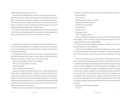finger painting of the man that had raised me.

Virtue calmed the spitting hatred in me that no man should have for a father. I wanted his mind to stop reeling and so landed on pity time and time again, but pity doesn't make a person, it barely makes a feeling. It's the atoms before they have a place. Pity is a place where nothing can be built and so a quiet resentment fills the blanks, and it chalks it up to God, or what space was before we were in it. Years had passed and the old man was the smear I remember him as.

The waitress came back with a smile bigger than before, which forced our table to shrink. Humming orders happily, dad's for the equivalent of a Chicken Noodle Soup and an order with pig's feet, for me, for the fuck of it. We ate in silence.

//

He asked to go to a record store, the go-to option for the easily entertained. Luckily, even if I'd been jaywalking with my city legs for a year now, I was born in Indiana, the only of the brothers to be a red blooded Hoosier, an Oaky at heart. We never complained about the quiet.

I rummaged through pop for a classic, Mariah Carey , and started examining the back. Mariah Carey was almost naked, he seemed nervous. Feeling a strong guilt, flooding his hands, when I passed it to him, he was almost shaking.

"That's such a great album. Mariah Carey is incredible."

"She sure is. Also very naked on this album."

"Well, she's beautiful."

"...have you made a lot of friends here?"

A question that lingered too long to be about 'friends.' I avoided talking about my love-life with my fundamentalist father. In phone conversations with my mom he'd scold her for not keeping a closer eye on the oldest one, who had a sexual appetite. A father is heavily invested in his son's sex life so feels responsible for it. Less puritanical families would have opened the lines even vaguely about the brooding sexual life that youth starts to sputter up, like jism but out of a pot rim, drips down into a mess that for all good reasons can't be ignored.

"Oh yeah. It's crazy how lucky I've been meeting people over here considering how

horrible the move was. My roommate is one of my best friends and we really click."

"What does he do?"

"He's a sushi chef."

He flipped through another row of records.

"Where are you working right now?"

"Same job, near the boardwalk."

"How you likin' it?"

"It's good. I like it."

"You going to school?"

"Yeah, I'm taking voice lessons."

"Your cousin Katherine was taking voice classes for a while. Your Grandma's always been practicing in a choir. That's great, Jordan. I'd like to hear some of that. I miss singing, even for church. It's such a good feeling."

"I've met most of my friends through my voice class, it's helped me out a lot, I've got a great teacher. I can tell the difference."

"I used to remember taking piano lessons from this big, German, woman, 'zaftig' you could say," he laughed at his own joke, "and I hated it. I never kept up with piano after I got into high school. I regret it more than anything. I should have stuck with it..."

He let out a sigh. Nothing more concrete than regret. I smiled, it wasn't what I felt but it seemed the only appropriate response, silence. It seemed like after that the atmosphere had died without a rattle and couldn't be summoned up again. With age was there a certain sensibility lost? The faculty to know when to be happy for someone else and not compare it to anyone's accomplishments. Parents, they seemed so full of sighs, constantly racking their minds wondering what happened like they never had any chance at all. It was that being an old fart wasn't a metaphor, they had resigned in every in so many senses. They were passing through their lives like gas, loosely to and through to the end. In their fiercest attempt to preserve their ego they cushion themselves from the blow of failure and in that, all of life's opportunity for success.

I tucked a James Blake album in my armpit. "I'm ready."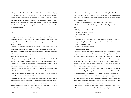He put down the Mariah Carey album and tried to snap out of it. Looking up, lost, and readjusting to the space around him. He followed beside me and put a hand on my shoulder, he brought me to his side with a firm, punctuated, loving grip and walked forward as if leading a procession, his unlived years behind him like a battalion made prisoners of war. The air died as his hung head and pair of sunken shoulders slinked through the doorway. The sun was hidden somewhere now. The air was slightly cooler.

#### //

Despite better sense I was pulling into the convention center, a smaller boardroom sized event inside of an enormous four star hotel. Parking was designated, I filled my space like water poured into a drinking glass—choreographed dance before choreographed dance.

He stood tall and pulled himself out of the car, with a pride I had only seen before a church sermon, with his briefcase in hand like it was a bible—his word lived in a box, behind a combination lock. Just the right pressure and opposable thumbs can unlock certain freedom. I was chaperoning a dance for my own son now. Fearing what I discover he really does.

People were funneling through the double doors. I joined the mass, side by side with him. From a steady satellite to a binary in the steady influx. Shoulders brushed against us, in time. White faces lifted up and dad gave a polite greeting. Southern hospitality from a man who'd just moved to and from Tennessee.

He was afraid of his interests, his ambitions, he only trusted drudgery—he only believed in hard work and bloodshed as a means of freedom. To be interested, to be immersed was too high risk. Believing martyrdom the only virtue and all pleasure sin he could never embrace himself, his faculties.

He tortured himself, to feel a pain he believed was always for a reason, he could not control pain, he could control how it was interpreted. It was inevitable, it was a constant—what varied is whether he interpreted it as senseless or success. The sting of sweat in his eyes reminded him he was alive. When in a dead world, a world that traded passions for passivity, he was like them, living.

Shoulders brushed him again, it was Sam and Midori, long time friends who'd made it independently. Sam gave me a firm handshake, while giving dad a quick pat on the back. Sam and Taylor had contracted Siphylus together in the Navy. That felt like connection to them.

"Sam—nice to finally meet you, Jordan. Taylor talks so much about you."

"And how you're quite the ladies' man," chimed Midori, "being such a handsome boy."

"Thank you." I laughed nervously.

"Are you ready for this?" said Sam.

"I can't wait." said Taylor.

"We'll see you in there."

They passed in and found another group they recognized near the open seats they were approaching. They were Diamond, you could tell from their suits.

"How're you feeling, Jordan?"

"Good—what are we doing here?"

"You'll find out, just wait."

We walked into the room, nothing but purple and gold, like they'd made everything down to seat cushions out of recycled Crown Royal® bags. The chairs had white accents and there was a faint paisley pattern in the carpets, with flowers to break up the monotony, all shades of purple in the rug but the flower's bulbs. It was arranged like a theater, the chairs in a semi-circle, split down the aisles, leading up a small staircase where solid velvet covered it, like thick shining moss. Then, the lights, an altar, a microphone, and a pull down screen.

I had seen this before but it felt as if it were the first time. This was a temple, another place of worship with the perfect amount of men and women filling seats. The ministers were filling their seats, behind the pulpit. They weren't just suits that fill any small town church arena—these aren't your average hope peddling goons, these are power players. In mind, body, and spirit, immaculate presentation. The grey hair and hard bodies, a vampiric youth proving you could live like this forever too. Carey Bartleman, an ex-televangelist filling the seat furthest stage right.

People are so dependent on vision, so much evolution is based on having the perfect distance from a perfect star, and that the select range of light making it through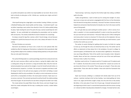our perfect atmosphere was neither too imperceptible nor too harsh. We are not to look to directly at what gives us life. It blinds you—worship your origins and don't look too close.

I find myself staring into a stage light a crew member's testing. It flickers, my vision a flashbulb floating under closed eyelids and then dying. I reoriented myself. I saw my father inspecting a seat cushion from directly in front of it, before politely taking his place, Taylor dusting the seat of his pants the way a woman would keep her skirt together. He was comfortable but anticipating the presentation and my reaction with nervousness. The anxiety tucked like his hand in between his crossed legs.

He always crossed his legs like a woman, which I found strange, not just because I imagined it's painful but because he was such a man, always self aware in his masculinity.

The best Christians are narcissists.

Narcissism was believed, by Freud, to be a result of an over policed child. One scolded too often for tripping over themselves or eating their dinner gracelessly. High strung children adapt to the conditions of always feeling watched, to the point where they can only watch themselves.

The cyclical thinking leads to a cyclical psychology, bound to be unwound and only with the most conscious efforts could you disarm a spring this tightly coiled. Like a rusting piano string, the narcissist is a long and loveless labor. Only the most detached and patient love could set him straight, in tune for himself and with others, to be hammered at, harped on...he thinks. The narcissist is impatient and hates to talk. He bangs his head on the wall and sees progress as the brick's red fading or wood displaying his relief his only consultation. His reality is a mirror and women as mirrors and his life is a manipulation of others. His moral system mechanic. Taylor was in every sense a narcissist. The narcissist was bound to and by himself. He ended up taking more than he gave. He saw himself as he saw others seeing him but didn't ever really.

The crowd calmed, the pulpit filled, throne after throne, and even though it was silent the crowds anticipation felt the way a creaking door sounds, a stutter before sound begins.

"Good evening," said Carey, rising from the furthest right chair, taking a confident walk to the altar.

"Ladies and gentleman, I want to thank you for coming here tonight. It's amazing to see so many men and women congregated with the focus to free themselves from the bond of serving others senselessly. Amucorp® has been a business that has helped men and women help themselves for decades now. You're the reason and the cause of that growth.

You can't get what you want working for another person—a life in service of another is wasteful. Is it truly mutually beneficial? In order to truly free yourself from toil, you must start your own business—Amucorp® helps you do it. Who's making the real money when it comes to a business? It's those who are the originators. But you don't have to be alone to be the originator, you need help, you need investors, a pool of others from which you can start.

The worker, he works thinking he's getting what he wants, he thinks he is going to move up, rise through the ranks, be noticed by those on top. The worker sees his efforts as statements to those above him in the workplace. He went to college, he wrote the papers, he followed the rules. He wants what's rightfully his. The businessman sees things differently. Think of the world's most innovative minds—Benjamin Franklin. Never set foot into a classroom and yet he's one of the most well-known American minds. A pillar of our history.

My father used to tell me: 'A' students work for 'B' students and 'B' students work for 'C' students. You know who survives in this society? No—anyone can survive. Do you know who thrives in the society? Those who go out and get it. Those who seize opportunities. Those who take the initiative—those who build the framework that others follow."

Taylor was furiously scribbling in a notebook he'd silently taken from out of his suitcase. I watched, starting to feel my face heating, I was slowly getting red. Some noise in me, vague and formless sought a shape, but only sank into an inky anxiety. My father, in the same place I'd seen him 10 years ago. A decade had passed and I was beginning to think it wasn't a second that'd passed but with the sermon running on I noticed my father had physically embodied his changes. His body had lost color,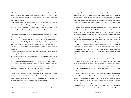it'd lost life, it was dying in front of my eyes with the same power that a will to live had in a person. My father had lived protecting himself. As if perseverance itself was to be valued, chasing ideals with no grounds in reality. Achieving any one specific goal would ruin the chase.

The problem was that he, like so many other men, had lived without sharing the child, the source of all life. The spirit's fuel is that which gives, like a tree gives it's exhale your inhale, it depends on being expressed. The only evidence that you ever existed on this planet is what you've given. It's only a song when you sing it.

His ambition stemmed from a fear of being swallowed by his desires again because the time when your one true love seems to slip away into murky doubt or the illusion of a concrete danger are the most crushing to feel. Birth and kidney stones don't compare to the feeling of being left and the only feeling worse than being left alone is having driven someone away. But like the myth promises, the only time your wealth can leave you is if you want it to. Life feels important only when you have some other place to be.

Taylor's most promising venture was wealth and making it as a means of escape. The feeling of need and want themselves making him weak. When he was younger he would write letters to his brother while on trips out. His time in the Navy was long and distant. He would come back once a season and be on the sea again. What exactly he was doing no one would know except his brother. He never talked about it to his wife or kids. The reason Mom found herself with a bad case of the clap after dad's trip to the Philippines. He, like so many famous writers before he decided he wanted to be one. His career highlight a rejection letter from National Lampoon telling him to keep sending work, it wasn't bad, it just wasn't a good fit for this issue.

Music started playing and he looked to me, clearly uncomfortable during the talk, startled, bordering on disturbed now. First an American flag fading in from black, the extreme close up being pulled out. A horn slowly gushing up with the beating of wind on cheap, heavy, fiber, slapping metallic chattering from the rivets.

Amucorp® appeared straight in the frame.

From the worker, to the soldier, to the wife, an entire family, shots of an Amer-

ican neighborhood and a church steeple, and the gates of heaven opening into a bald eagle. The exhausted imagery all added up to feed the marks of the American playground that a responsible adulthood provides. You could be what you wanted. It wasn't about buying what you're selling, living what you want. It was about finding a comfortable middle ground for exchange. Life's a compromise, regardless of how it compromises you.

The hallucinogens were run down and they started watching an interview with an ex-military. He was older now, 31, but he'd made it. He was tired after the military of putting his college education, something he'd risked his life for in the service of his favorite nation in the world—America, in service of massive organizations he felt completely out of control of. America, the only country he'd spent more time living in than killing in, which is what informed his opinion of his nation, like every other stubborn nationalist, was a nation that had apparently promised him something.

I couldn't help but wonder what exactly America had promised him. The American was so infatuated by a nation that it would choose to be tricked by its non-specifications. Who was this America? Where the fuck was its mouth? Who was it talking; it reminded me of a burning bush. The explanations based off of some interpretation as fact.

The soldier wasn't turning his back on his nation, he just believed there was a more satisfying direct, proactive way to satisfy his financial needs and that would mean, naturally, a more labor free and satisfying life. Pushing work onto another and wearing a cross was the main project. It faded and the lights blossomed back in. Taylor was readjusting himself, picking at the jean near his crotch as casually as you could pick, trying to be quick.

The suits picked themselves up and shuffled. The legs they wanted to stretch, were in quiet. We are all respectful out of reverence just for respect. Another speaker came forward, the next in the row of chairs. Sweating, my jaws tightened like a car jack, like a bad case of lockjaw. I felt present, visible in the light, the way a sick girl at a party hangs around for too long and the night is just waiting to smell the vomit, the room was its own feeling of missing something and being sure of it and how to fix it. I looked at my father for a moment, who I knew was proud but I didn't feel any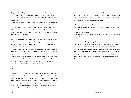thing near pride. Holding onto my shoulder blindly, he turned to me with a beaming smile that I wished I could have remembered outside of any room. Outside of a church, outside of a congregation, outside of a car, away from the past. I felt longing and pathetic.

"God bless us. We're so blessed to be able to be together like this. Building the business, our own. We don't have to answer to anyone else but ourselves..."

Exploring himself after child rearing became too real. He was a man, he had a right to. How'd he have so much money to just pick up and drive from Tennessee to California to Santa Monica to Idaho. I was witness to the mid-life crisis. Internalizing, fully and finally, I was orphaned.

I was on a baseball team once but don't remember it. I felt alone most of the time, my whole life was batting practice. A strange adult man in the same outfit as me, feeding a machine it's ammo, swing after swing on an overcast evening, hoping to make it to make him proud. I could have lived my life being bought hot dogs at neighbor's sporting events.

"Living for ourselves," the voice blared, in that dramatic southerner's oratorical drawl, where even the sounds alone made you feel proud, "is the best gift we have to give to others. We are the salt of the earth; we are our only gift to give!"

The audience broke into applause, shouting one man screamed, 'Amen!' It was an event being there together, cheering, the way you would at a ball game. My stomach sank. I panned the room and like a breeze through dandelions, bobbed through their movements, joining the applause like I knew I never could.

//

Passing back out of the double doors we met with Sam and Midori again, both newly smug, refreshed by absolute reinforcement of their preexisting biases. The only thing worse than a religion based on original sin and the constant guilt that drives you to adopt unrealistic goals and an infinite inferiority complex, is a spiritual retreat with the generic feel good embrace, warming you with the feeling of total acceptance of everything you've ever done, are doing, and will do. The horoscope-inclusive attitude dangerously close to a Klan rally.

That's when an enormous white hand planted itself into my left shoulder. I shot up, startled. Sam was ready to say goodbye, he'd arranged a ride back home with another acquaintance in advanced, which was Sam's polite way of saying he'd the time and money to stay a few days extra in Santa Monica.

"It's always good to see you Taylor, coming with you to these events always strengthens my resolve. You'll go sapphire soon enough, Taylor. Don't worry. That's why you're here."

"Thanks, Sam." he smiled.

Sam and Midori power-walked away into the milling heat of hopefuls and he turned to find me.

I filled my place, playing my part, subordinate but care-giving, supportive-lead I turned the key, muttering, sighing as privately as I could. Dad had lived years this way, a wet nosed salesman, where the goods and services were as good as an alms bowl. A beggar without a robe, a monk without a tower, he was like a drunken Noah, where, after ruthlessly disgracing the name, and betraying his kin, they did the Christian thing. Turning another cheek and sending the crowds away, tucking in their red faced father. The family had its own demands but its laws were greater, it was its obedience forever.

//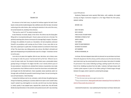#### .III

#### Bucket List

On entrance to the hotel room, he placed his briefcase against the bed's headboard. A click and the handle dropped, like a deflated actor after the take. He started undressing at the collar button, after reaching the television in the end of the room, he turned towards me, standing in the entrance.

"That was fun, wasn't it?" he asked, knowing it wasn't.

It was rhetorical. He stood, dazed, in the mirror. The silence was the dusty glare filling with an incomprehensible guilt. I found a place and laid out on the bed. The perfectly matching color scheme reminiscent of a teenage blog's margins. The power of design, the subtleties of accents as a foundation. He had completely undressed himself in my periphery until crossing my line of vision. A man, more alien to me than ever, a great ape in a gold chain. His body covered in an almost fur thick mane of hair. The closet door, two sliding panels, also mirrors. My father's shriveled and aged cock disappearing as he pulled the door open for a hanger. It had been normal to me for years.

I can only try to piece him together. Who he was. Not dress, not a history came to converge to make the person I had learned half my life from. Tethered now to a man I'd never really met. The closest to family history was a conversation about grandpa being an immigrant. His religion had left a man in denial, blind to years of his own existence—banished as sin, deleted from memory. A passionless man made up of passionless ritual. Without words he closed the closet doors and walked without thought into the tiled bathroom. Gears squeaked, values sputtered, water ran through walls and finally the peaceful muted hissing of water. He was humming the tune of Frank Sinatra's, 'I Did It My Way.'

I noticed the briefcase next to me, unlocked, a dark slit down the glittering brass lining of its fastening, peaking out. Curiosity called me to open it and I couldn't deny myself. I picked it up, held together on one side, and slid it over my chest. Opening it, slowly, quietly, it was popped open, exposed like a dumb clam. My soft hands blindly burying themselves in the contents and pushed around until I was clenching

#### a year-thick planner.

Randomly, flipping past some sparsely filled dates, until, suddenly, the weight carrying my fingers momentum stopped on a list. Pages flicked into their places, splayed, reading:

#### BEFORE I GO:

SAVE THE BOYS BUY A HOUSE FIND A PLACE TO BURY MOM PERFORM A STAND UP SET WRITE A BOOK VISIT JAPAN MOVE TO SAN FRANCISCO GO BACK TO CHURCH GET MARRIED RETIRE IN ROANOKE, IN

In all caps. My heart skipped a beat while my stomach ran up and down my throat. I threw the day planner into the suitcase, and the suitcase across the clean but clearly worn hotel room rug. You cannot wash the use out of a place. Even when it's invisible it's permanent. It has a taste. Collecting my things, catching myself in the mirror, in front of me. Grabbing my phone from the table, I noticed a half open drawer with a leather jacket exposed. A piece of red ribbon poking it's forked tongue through between the pages, where I opened it, containing the passage:

#### 30 I and my Father are one.

 $31$  Then the Jews took up stones again to stone him.

 $32$  Jesus answered them, Many good works have I shewed you from my Father; for which of those works do ye stone me?

I slammed the book shut. I was swallowing the heat down my throat. Hands were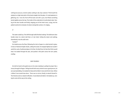nothing but pressure, tectonic plates waiting to slip. Eyes watered. Third breath the catalyst to a high-heat pitch of the book straight into the glass. It's iced-explosion in glittering cuts. I tore the front off the book and with a pen; ham-fisted something barely legible across the top. The inside of the underside of a turtle-blank slate. Tearing at the door handle and finally, stepping out of the hotel room, crying, into the patient womb of an elevator. Its doors closing like curtains. It's ringing...

#### //

The water sealed up. The shift through walls finished snaking. The bathroom door handle closer to a dorm stall than a 4 star hotel. Exiting the steam and walking, shamelessly, into the cold room.

#### "Jordan?"

He looked across the floor, following the train of paper to a desk buried in glass. A mess of diamond bright shards, salting the wood. He stepped lightly but couldn't avoid the coals of splintered glass in his feet. He bled from his feet like Christ would have. He looked through the pile, and pushed a flat palm across the torn jacket, reading:

#### SAVE YOURSELF

He slid his hand to the gold cross on his neck, twisting it, pulling his prayer like a rosary through his fingers. Telling himself with every stroke he was a good person, his son was backsliding. He needed his help and his father's love and Christ's love. When a father's love would have done. There was no mirror, finally, to absorb himself in. The theories were an absent reflection. It was blood and debris. He looked up, craning his neck all the way to the ceiling.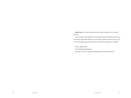**Atticus Davis** is a 25 year old poet and artist living in California. He is a modern day seer.

He is the author of the collection 'Dumb Stuttering Free' from Bedouin Books and his work has appeared in Metazen, The Scrambler, Housefire, Hobart, Vivimus, Pretty Owl, Whole Beast Rag, theNewerYork!, and Keep This Bag Away From Children.

Twitter: @atticusdavis

IG: @chetbakerhuffingagasrag

Read more work here: http://www.goodgravity.tumblr.com/publication